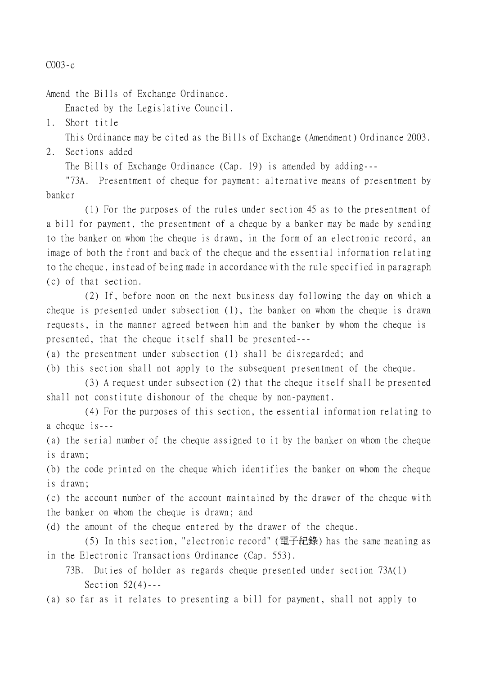## C003-e

Amend the Bills of Exchange Ordinance.

Enacted by the Legislative Council.

1. Short title

This Ordinance may be cited as the Bills of Exchange (Amendment) Ordinance 2003.

## 2. Sections added

The Bills of Exchange Ordinance (Cap. 19) is amended by adding---

"73A. Presentment of cheque for payment: alternative means of presentment by banker

(1) For the purposes of the rules under section 45 as to the presentment of a bill for payment, the presentment of a cheque by a banker may be made by sending to the banker on whom the cheque is drawn, in the form of an electronic record, an image of both the front and back of the cheque and the essential information relating to the cheque, instead of being made in accordance with the rule specified in paragraph (c) of that section.

(2) If, before noon on the next business day following the day on which a cheque is presented under subsection (1), the banker on whom the cheque is drawn requests, in the manner agreed between him and the banker by whom the cheque is presented, that the cheque itself shall be presented---

(a) the presentment under subsection (1) shall be disregarded; and

(b) this section shall not apply to the subsequent presentment of the cheque.

(3) A request under subsection (2) that the cheque itself shall be presented shall not constitute dishonour of the cheque by non-payment.

(4) For the purposes of this section, the essential information relating to a cheque  $is--$ 

(a) the serial number of the cheque assigned to it by the banker on whom the cheque is drawn;

(b) the code printed on the cheque which identifies the banker on whom the cheque is drawn;

(c) the account number of the account maintained by the drawer of the cheque with the banker on whom the cheque is drawn; and

(d) the amount of the cheque entered by the drawer of the cheque.

(5) In this section, "electronic record" (電子紀錄) has the same meaning as in the Electronic Transactions Ordinance (Cap. 553).

73B. Duties of holder as regards cheque presented under section 73A(1) Section 52(4)---

(a) so far as it relates to presenting a bill for payment, shall not apply to